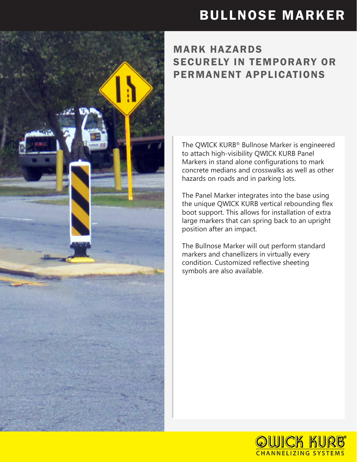## BULLNOSE MARKER

## MARK HAZARDS SECURELY IN TEMPORARY OR PERMANENT APPLICATIONS

The QWICK KURB® Bullnose Marker is engineered to attach high-visibility QWICK KURB Panel Markers in stand alone configurations to mark concrete medians and crosswalks as well as other hazards on roads and in parking lots.

The Panel Marker integrates into the base using the unique QWICK KURB vertical rebounding flex boot support. This allows for installation of extra large markers that can spring back to an upright position after an impact.

The Bullnose Marker will out perform standard markers and chanellizers in virtually every condition. Customized reflective sheeting symbols are also available.